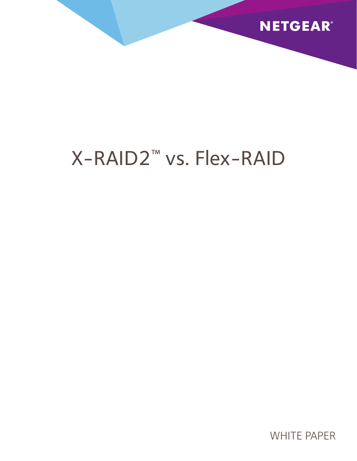

# X-RAID2™ vs. Flex-RAID

WHITE PAPER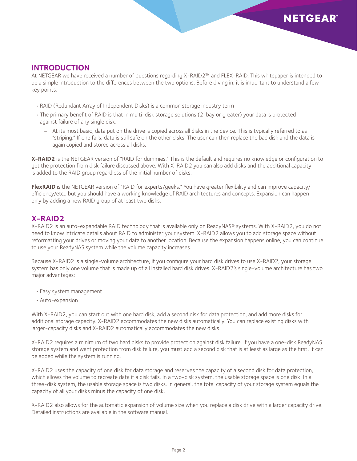#### **Introduction**

At NETGEAR we have received a number of questions regarding X-RAID2™ and FLEX-RAID. This whitepaper is intended to be a simple introduction to the differences between the two options. Before diving in, it is important to understand a few key points:

- RAID (Redundant Array of Independent Disks) is a common storage industry term
- • The primary benefit of RAID is that in multi-disk storage solutions (2-bay or greater) your data is protected against failure of any single disk.
	- − At its most basic, data put on the drive is copied across all disks in the device. This is typically referred to as "striping." If one fails, data is still safe on the other disks. The user can then replace the bad disk and the data is again copied and stored across all disks.

**X-RAID2** is the NETGEAR version of "RAID for dummies." This is the default and requires no knowledge or configuration to get the protection from disk failure discussed above. With X-RAID2 you can also add disks and the additional capacity is added to the RAID group regardless of the initial number of disks.

**FlexRAID** is the NETGEAR version of "RAID for experts/geeks." You have greater flexibility and can improve capacity/ efficiency/etc., but you should have a working knowledge of RAID architectures and concepts. Expansion can happen only by adding a new RAID group of at least two disks.

### **X-RAID2**

X-RAID2 is an auto-expandable RAID technology that is available only on ReadyNAS® systems. With X-RAID2, you do not need to know intricate details about RAID to administer your system. X-RAID2 allows you to add storage space without reformatting your drives or moving your data to another location. Because the expansion happens online, you can continue to use your ReadyNAS system while the volume capacity increases.

Because X-RAID2 is a single-volume architecture, if you configure your hard disk drives to use X-RAID2, your storage system has only one volume that is made up of all installed hard disk drives. X-RAID2's single-volume architecture has two major advantages:

- Easy system management
- Auto-expansion

With X-RAID2, you can start out with one hard disk, add a second disk for data protection, and add more disks for additional storage capacity. X-RAID2 accommodates the new disks automatically. You can replace existing disks with larger-capacity disks and X-RAID2 automatically accommodates the new disks.

X-RAID2 requires a minimum of two hard disks to provide protection against disk failure. If you have a one-disk ReadyNAS storage system and want protection from disk failure, you must add a second disk that is at least as large as the first. It can be added while the system is running.

X-RAID2 uses the capacity of one disk for data storage and reserves the capacity of a second disk for data protection, which allows the volume to recreate data if a disk fails. In a two-disk system, the usable storage space is one disk. In a three-disk system, the usable storage space is two disks. In general, the total capacity of your storage system equals the capacity of all your disks minus the capacity of one disk.

X-RAID2 also allows for the automatic expansion of volume size when you replace a disk drive with a larger capacity drive. Detailed instructions are available in the software manual.